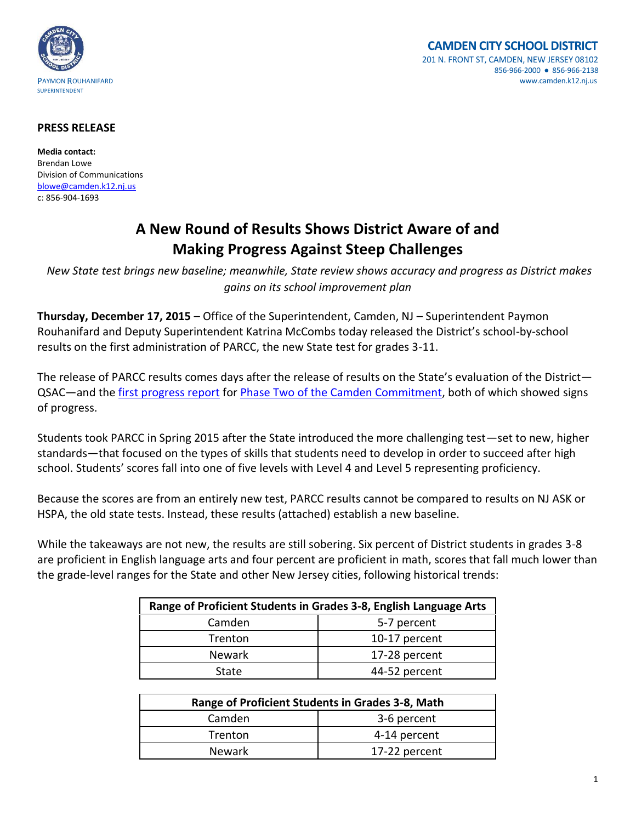



## **PRESS RELEASE**

**Media contact:** Brendan Lowe Division of Communications [blowe@camden.k12.nj.us](mailto:blowe@camden.k12.nj.us) c: 856-904-1693

## **A New Round of Results Shows District Aware of and Making Progress Against Steep Challenges**

*New State test brings new baseline; meanwhile, State review shows accuracy and progress as District makes gains on its school improvement plan*

**Thursday, December 17, 2015** – Office of the Superintendent, Camden, NJ – Superintendent Paymon Rouhanifard and Deputy Superintendent Katrina McCombs today released the District's school-by-school results on the first administration of PARCC, the new State test for grades 3-11.

The release of PARCC results comes days after the release of results on the State's evaluation of the District— QSAC—and the [first progress report](http://www.camden.k12.nj.us/apps/pages/index.jsp?uREC_ID=229399&type=d&termREC_ID=&pREC_ID=444836) for [Phase Two of the Camden Commitment,](http://www.camden.k12.nj.us/pages_inc/commitment/pdf/All%20Schools%20Rise-One%20Pager-English.pdf) both of which showed signs of progress.

Students took PARCC in Spring 2015 after the State introduced the more challenging test—set to new, higher standards—that focused on the types of skills that students need to develop in order to succeed after high school. Students' scores fall into one of five levels with Level 4 and Level 5 representing proficiency.

Because the scores are from an entirely new test, PARCC results cannot be compared to results on NJ ASK or HSPA, the old state tests. Instead, these results (attached) establish a new baseline.

While the takeaways are not new, the results are still sobering. Six percent of District students in grades 3-8 are proficient in English language arts and four percent are proficient in math, scores that fall much lower than the grade-level ranges for the State and other New Jersey cities, following historical trends:

| Range of Proficient Students in Grades 3-8, English Language Arts |               |  |
|-------------------------------------------------------------------|---------------|--|
| Camden                                                            | 5-7 percent   |  |
| Trenton                                                           | 10-17 percent |  |
| <b>Newark</b>                                                     | 17-28 percent |  |
| State                                                             | 44-52 percent |  |

| Range of Proficient Students in Grades 3-8, Math |               |  |
|--------------------------------------------------|---------------|--|
| Camden                                           | 3-6 percent   |  |
| Trenton                                          | 4-14 percent  |  |
| <b>Newark</b>                                    | 17-22 percent |  |
|                                                  |               |  |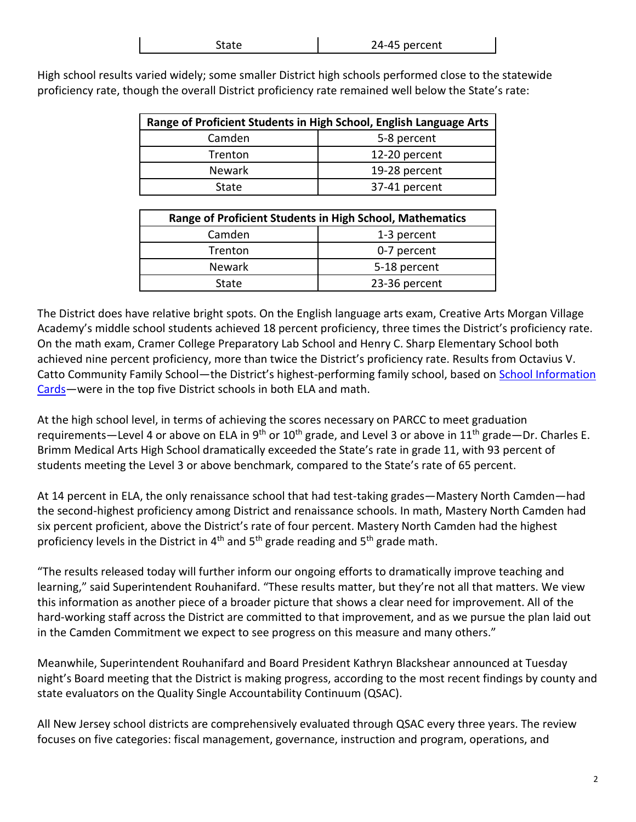| 24-45 percent |
|---------------|
|               |

High school results varied widely; some smaller District high schools performed close to the statewide proficiency rate, though the overall District proficiency rate remained well below the State's rate:

| Range of Proficient Students in High School, English Language Arts |               |  |
|--------------------------------------------------------------------|---------------|--|
| Camden                                                             | 5-8 percent   |  |
| <b>Trenton</b>                                                     | 12-20 percent |  |
| <b>Newark</b>                                                      | 19-28 percent |  |
| State                                                              | 37-41 percent |  |

| Range of Proficient Students in High School, Mathematics |               |  |
|----------------------------------------------------------|---------------|--|
| Camden                                                   | 1-3 percent   |  |
| Trenton                                                  | 0-7 percent   |  |
| <b>Newark</b>                                            | 5-18 percent  |  |
| State                                                    | 23-36 percent |  |

The District does have relative bright spots. On the English language arts exam, Creative Arts Morgan Village Academy's middle school students achieved 18 percent proficiency, three times the District's proficiency rate. On the math exam, Cramer College Preparatory Lab School and Henry C. Sharp Elementary School both achieved nine percent proficiency, more than twice the District's proficiency rate. Results from Octavius V. Catto Community Family School—the District's highest-performing family school, based o[n School Information](http://infocards.camden.k12.nj.us/)  [Cards](http://infocards.camden.k12.nj.us/)—were in the top five District schools in both ELA and math.

At the high school level, in terms of achieving the scores necessary on PARCC to meet graduation requirements—Level 4 or above on ELA in 9<sup>th</sup> or 10<sup>th</sup> grade, and Level 3 or above in 11<sup>th</sup> grade—Dr. Charles E. Brimm Medical Arts High School dramatically exceeded the State's rate in grade 11, with 93 percent of students meeting the Level 3 or above benchmark, compared to the State's rate of 65 percent.

At 14 percent in ELA, the only renaissance school that had test-taking grades—Mastery North Camden—had the second-highest proficiency among District and renaissance schools. In math, Mastery North Camden had six percent proficient, above the District's rate of four percent. Mastery North Camden had the highest proficiency levels in the District in  $4<sup>th</sup>$  and  $5<sup>th</sup>$  grade and  $5<sup>th</sup>$  grade math.

"The results released today will further inform our ongoing efforts to dramatically improve teaching and learning," said Superintendent Rouhanifard. "These results matter, but they're not all that matters. We view this information as another piece of a broader picture that shows a clear need for improvement. All of the hard-working staff across the District are committed to that improvement, and as we pursue the plan laid out in the Camden Commitment we expect to see progress on this measure and many others."

Meanwhile, Superintendent Rouhanifard and Board President Kathryn Blackshear announced at Tuesday night's Board meeting that the District is making progress, according to the most recent findings by county and state evaluators on the Quality Single Accountability Continuum (QSAC).

All New Jersey school districts are comprehensively evaluated through QSAC every three years. The review focuses on five categories: fiscal management, governance, instruction and program, operations, and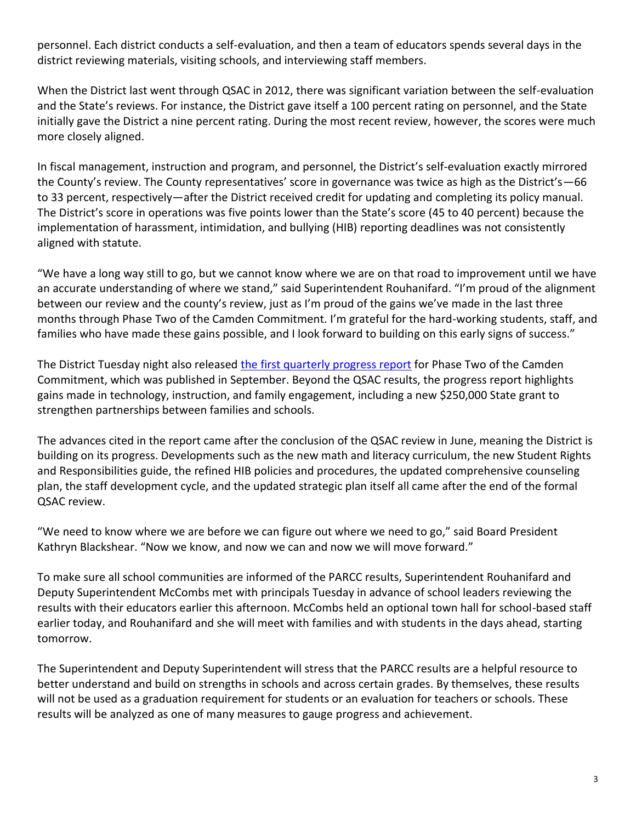personnel. Each district conducts a self-evaluation, and then a team of educators spends several days in the district reviewing materials, visiting schools, and interviewing staff members.

When the District last went through QSAC in 2012, there was significant variation between the self-evaluation and the State's reviews. For instance, the District gave itself a 100 percent rating on personnel, and the State initially gave the District a nine percent rating. During the most recent review, however, the scores were much more closely aligned.

In fiscal management, instruction and program, and personnel, the District's self-evaluation exactly mirrored the County's review. The County representatives' score in governance was twice as high as the District's—66 to 33 percent, respectively—after the District received credit for updating and completing its policy manual. The District's score in operations was five points lower than the State's score (45 to 40 percent) because the implementation of harassment, intimidation, and bullying (HIB) reporting deadlines was not consistently aligned with statute.

"We have a long way still to go, but we cannot know where we are on that road to improvement until we have an accurate understanding of where we stand," said Superintendent Rouhanifard. "I'm proud of the alignment between our review and the county's review, just as I'm proud of the gains we've made in the last three months through Phase Two of the Camden Commitment. I'm grateful for the hard-working students, staff, and families who have made these gains possible, and I look forward to building on this early signs of success."

The District Tuesday night also released [the first quarterly progress report](http://www.camden.k12.nj.us/apps/pages/index.jsp?uREC_ID=229399&type=d&termREC_ID=&pREC_ID=444836) for Phase Two of the Camden Commitment, which was published in September. Beyond the QSAC results, the progress report highlights gains made in technology, instruction, and family engagement, including a new \$250,000 State grant to strengthen partnerships between families and schools.

The advances cited in the report came after the conclusion of the QSAC review in June, meaning the District is building on its progress. Developments such as the new math and literacy curriculum, the new Student Rights and Responsibilities guide, the refined HIB policies and procedures, the updated comprehensive counseling plan, the staff development cycle, and the updated strategic plan itself all came after the end of the formal QSAC review.

"We need to know where we are before we can figure out where we need to go," said Board President Kathryn Blackshear. "Now we know, and now we can and now we will move forward."

To make sure all school communities are informed of the PARCC results, Superintendent Rouhanifard and Deputy Superintendent McCombs met with principals Tuesday in advance of school leaders reviewing the results with their educators earlier this afternoon. McCombs held an optional town hall for school-based staff earlier today, and Rouhanifard and she will meet with families and with students in the days ahead, starting tomorrow.

The Superintendent and Deputy Superintendent will stress that the PARCC results are a helpful resource to better understand and build on strengths in schools and across certain grades. By themselves, these results will not be used as a graduation requirement for students or an evaluation for teachers or schools. These results will be analyzed as one of many measures to gauge progress and achievement.